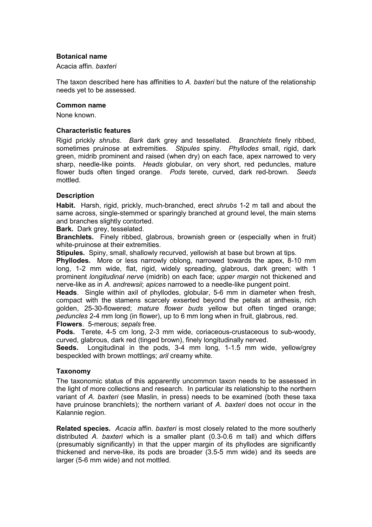## **Botanical name**

Acacia affin. *baxteri*

The taxon described here has affinities to *A. baxteri* but the nature of the relationship needs yet to be assessed.

#### **Common name**

None known.

#### **Characteristic features**

Rigid prickly *shrubs*. *Bark* dark grey and tessellated. *Branchlets* finely ribbed, sometimes pruinose at extremities. *Stipules* spiny. *Phyllodes* small, rigid, dark green, midrib prominent and raised (when dry) on each face, apex narrowed to very sharp, needle-like points. *Heads* globular, on very short, red peduncles, mature flower buds often tinged orange. *Pods* terete, curved, dark red-brown. *Seeds* mottled.

## **Description**

**Habit.** Harsh, rigid, prickly, much-branched, erect *shrubs* 1-2 m tall and about the same across, single-stemmed or sparingly branched at ground level, the main stems and branches slightly contorted.

**Bark.** Dark grey, tesselated.

**Branchlets.** Finely ribbed, glabrous, brownish green or (especially when in fruit) white-pruinose at their extremities.

**Stipules.** Spiny, small, shallowly recurved, yellowish at base but brown at tips.

**Phyllodes.** More or less narrowly oblong, narrowed towards the apex, 8-10 mm long, 1-2 mm wide, flat, rigid, widely spreading, glabrous, dark green; with 1 prominent *longitudinal nerve* (midrib) on each face; *upper margin* not thickened and nerve-like as in *A. andrewsii*; *apices* narrowed to a needle-like pungent point.

**Heads**. Single within axil of phyllodes, globular, 5-6 mm in diameter when fresh, compact with the stamens scarcely exserted beyond the petals at anthesis, rich golden, 25-30-flowered; *mature flower buds* yellow but often tinged orange; *peduncles* 2-4 mm long (in flower), up to 6 mm long when in fruit, glabrous, red. **Flowers**. 5-merous; *sepals* free.

**Pods.** Terete, 4-5 cm long, 2-3 mm wide, coriaceous-crustaceous to sub-woody, curved, glabrous, dark red (tinged brown), finely longitudinally nerved.

**Seeds.** Longitudinal in the pods, 3-4 mm long, 1-1.5 mm wide, yellow/grey bespeckled with brown mottlings; *aril* creamy white.

#### **Taxonomy**

The taxonomic status of this apparently uncommon taxon needs to be assessed in the light of more collections and research. In particular its relationship to the northern variant of *A. baxteri* (see Maslin, in press) needs to be examined (both these taxa have pruinose branchlets); the northern variant of *A. baxteri* does not occur in the Kalannie region.

**Related species.** *Acacia* affin. *baxteri* is most closely related to the more southerly distributed *A. baxteri* which is a smaller plant (0.3-0.6 m tall) and which differs (presumably significantly) in that the upper margin of its phyllodes are significantly thickened and nerve-like, its pods are broader (3.5-5 mm wide) and its seeds are larger (5-6 mm wide) and not mottled.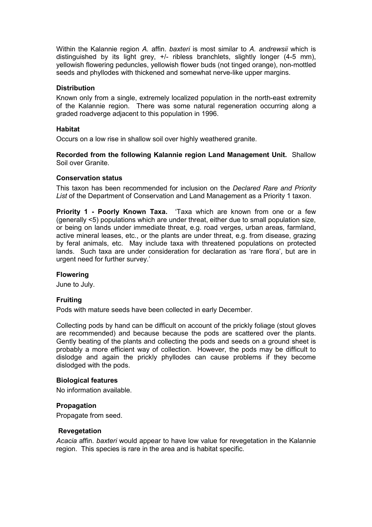Within the Kalannie region *A.* affin. *baxteri* is most similar to *A. andrewsii* which is distinguished by its light grey, +/- ribless branchlets, slightly longer (4-5 mm), yellowish flowering peduncles, yellowish flower buds (not tinged orange), non-mottled seeds and phyllodes with thickened and somewhat nerve-like upper margins.

## **Distribution**

Known only from a single, extremely localized population in the north-east extremity of the Kalannie region. There was some natural regeneration occurring along a graded roadverge adjacent to this population in 1996.

## **Habitat**

Occurs on a low rise in shallow soil over highly weathered granite.

**Recorded from the following Kalannie region Land Management Unit.** Shallow Soil over Granite.

#### **Conservation status**

This taxon has been recommended for inclusion on the *Declared Rare and Priority List* of the Department of Conservation and Land Management as a Priority 1 taxon.

**Priority 1 - Poorly Known Taxa.** 'Taxa which are known from one or a few (generally <5) populations which are under threat, either due to small population size, or being on lands under immediate threat, e.g. road verges, urban areas, farmland, active mineral leases, etc., or the plants are under threat, e.g. from disease, grazing by feral animals, etc. May include taxa with threatened populations on protected lands. Such taxa are under consideration for declaration as 'rare flora', but are in urgent need for further survey.'

#### **Flowering**

June to July.

#### **Fruiting**

Pods with mature seeds have been collected in early December.

Collecting pods by hand can be difficult on account of the prickly foliage (stout gloves are recommended) and because because the pods are scattered over the plants. Gently beating of the plants and collecting the pods and seeds on a ground sheet is probably a more efficient way of collection. However, the pods may be difficult to dislodge and again the prickly phyllodes can cause problems if they become dislodged with the pods.

### **Biological features**

No information available.

## **Propagation**

Propagate from seed.

#### **Revegetation**

*Acacia* affin. *baxteri* would appear to have low value for revegetation in the Kalannie region. This species is rare in the area and is habitat specific.